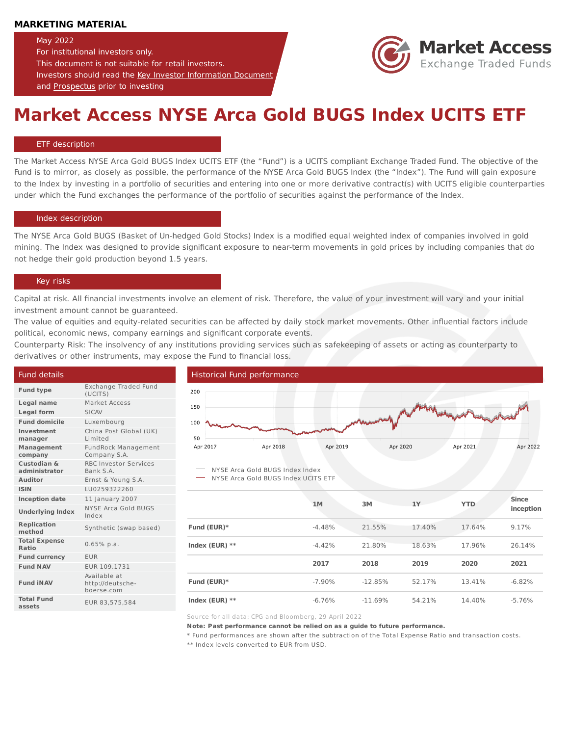## **MARKETING MATERIAL**

## May 2022

For institutional investors only.

This document is not suitable for retail investors. Investors should read the Key Investor [Information](https://marketaccessetf.com/Products/DownloadETFs?Filename=LU0259322260_EN_KIID_2022Jan.pdf) Document and [Prospectus](https://marketaccessetf.com/Products/DownloadETFs?Filename=Market%20Access%20-%20Prospectus%20-%20December%202021.pdf) prior to investing



# **Market Access NYSE Arca Gold BUGS Index UCITS ETF**

### ETF description

The Market Access NYSE Arca Gold BUGS Index UCITS ETF (the "Fund") is a UCITS compliant Exchange Traded Fund. The objective of the Fund is to mirror, as closely as possible, the performance of the NYSE Arca Gold BUGS Index (the "Index"). The Fund will gain exposure to the Index by investing in a portfolio of securities and entering into one or more derivative contract(s) with UCITS eligible counterparties under which the Fund exchanges the performance of the portfolio of securities against the performance of the Index.

### Index description

The NYSE Arca Gold BUGS (Basket of Un-hedged Gold Stocks) Index is a modified equal weighted index of companies involved in gold mining. The Index was designed to provide significant exposure to near-term movements in gold prices by including companies that do not hedge their gold production beyond 1.5 years.

## Key risks

Capital at risk. All financial investments involve an element of risk. Therefore, the value of your investment will vary and your initial investment amount cannot be guaranteed.

The value of equities and equity-related securities can be affected by daily stock market movements. Other influential factors include political, economic news, company earnings and significant corporate events.

Counterparty Risk: The insolvency of any institutions providing services such as safekeeping of assets or acting as counterparty to derivatives or other instruments, may expose the Fund to financial loss.

| Fund details                  |                                                |                                     | Historical Fund performance |          |           |        |            |              |  |
|-------------------------------|------------------------------------------------|-------------------------------------|-----------------------------|----------|-----------|--------|------------|--------------|--|
| <b>Fund type</b>              | Exchange Traded Fund<br>(UCITS)                | 200                                 |                             |          |           |        |            |              |  |
| Legal name                    | Market Access                                  | 150                                 |                             |          |           |        |            |              |  |
| <b>Legal form</b>             | <b>SICAV</b>                                   |                                     |                             |          |           |        |            |              |  |
| <b>Fund domicile</b>          | Luxembourg                                     | 100                                 |                             |          | menterman |        |            |              |  |
| Investment<br>manager         | China Post Global (UK)<br>Limited              | 50                                  |                             |          |           |        |            |              |  |
| Management<br>company         | <b>FundRock Management</b><br>Company S.A.     | Apr 2017                            | Apr 2018                    | Apr 2019 | Apr 2020  |        | Apr 2021   | Apr 2022     |  |
| Custodian &<br>administrator  | <b>RBC Investor Services</b><br>Bank S.A.      | NYSE Arca Gold BUGS Index Index     |                             |          |           |        |            |              |  |
| <b>Auditor</b>                | Ernst & Young S.A.                             | NYSE Arca Gold BUGS Index UCITS ETF |                             |          |           |        |            |              |  |
| <b>ISIN</b>                   | LU0259322260                                   |                                     |                             |          |           |        |            |              |  |
| <b>Inception date</b>         | 11 January 2007                                |                                     |                             | 1M       | 3M        | 1Y     | <b>YTD</b> | <b>Since</b> |  |
| <b>Underlying Index</b>       | NYSE Arca Gold BUGS<br>Index                   |                                     |                             |          |           |        |            | inception    |  |
| <b>Replication</b><br>method  | Synthetic (swap based)                         | Fund (EUR)*                         |                             | $-4.48%$ | 21.55%    | 17.40% | 17.64%     | 9.17%        |  |
| <b>Total Expense</b><br>Ratio | $0.65%$ p.a.                                   | Index (EUR) $**$                    |                             | $-4.42%$ | 21.80%    | 18.63% | 17.96%     | 26.14%       |  |
| <b>Fund currency</b>          | <b>EUR</b>                                     |                                     |                             |          |           |        |            |              |  |
| <b>Fund NAV</b>               | EUR 109.1731                                   |                                     |                             | 2017     | 2018      | 2019   | 2020       | 2021         |  |
| <b>Fund INAV</b>              | Available at<br>http://deutsche-<br>boerse.com | Fund (EUR)*                         |                             | $-7.90%$ | $-12.85%$ | 52.17% | 13.41%     | $-6.82%$     |  |
| <b>Total Fund</b><br>assets   | EUR 83,575,584                                 | Index $(EUR)$ **                    |                             | $-6.76%$ | $-11.69%$ | 54.21% | 14.40%     | $-5.76%$     |  |

Source for all data: CPG and Bloomberg, 29 April 2022

**Note: Past performance cannot be relied on as a guide to future performance.**

\* Fund performances are shown after the subtraction of the Total Expense Ratio and transaction costs.

\*\* Index levels converted to EUR from USD.